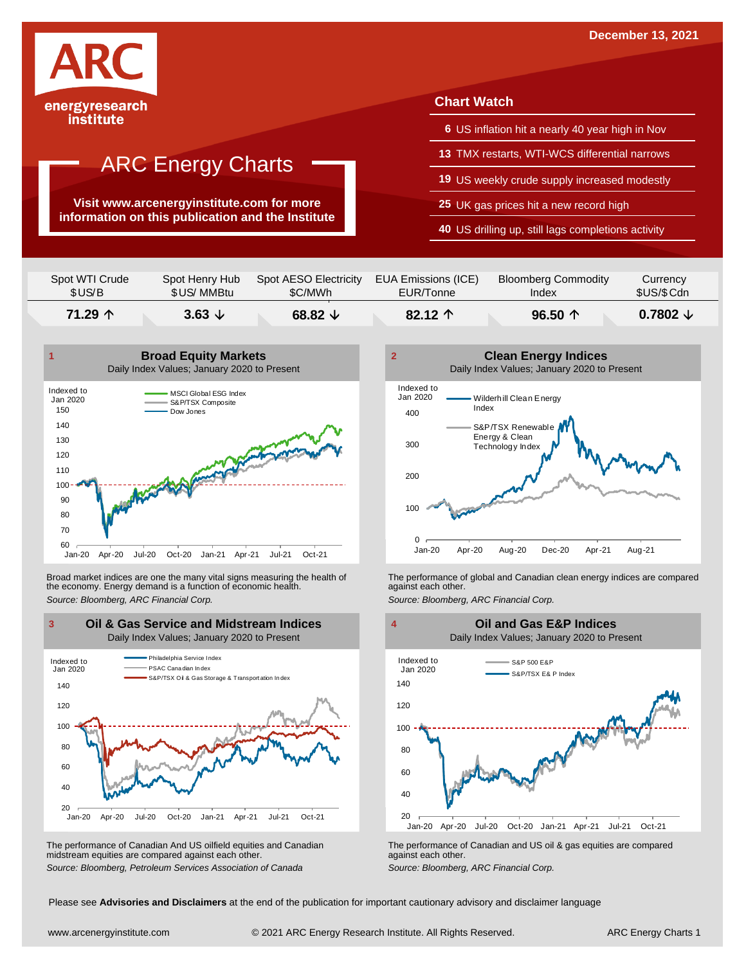

## ARC Energy Charts

**Visit www.arcenergyinstitute.com for more information on this publication and the Institute**

#### **Chart Watch**

- **6** US inflation hit a nearly 40 year high in Nov
- **13** TMX restarts, WTI-WCS differential narrows
- **19** US weekly crude supply increased modestly
- **25** UK gas prices hit a new record high
- **40** US drilling up, still lags completions activity

| Spot WTI Crude | Spot Henry Hub  | Spot AESO Electricity | EUA Emissions (ICE) | <b>Bloomberg Commodity</b> | Currency            |
|----------------|-----------------|-----------------------|---------------------|----------------------------|---------------------|
| \$US/B         | \$US/MMBtu      | \$C/MWh               | EUR/Tonne           | Index                      | \$US/\$Cdn          |
| 71.29 个        | 3.63 $\sqrt{ }$ | 68.82 $\sqrt{ }$      | 82.12 $\uparrow$    | 96.50 $\uparrow$           | $0.7802 \downarrow$ |



Broad market indices are one the many vital signs measuring the health of the economy. Energy demand is a function of economic health. Broad market indices are one the many vital signs measuring the health of The performance of global and Canadian clean energy indices are compared<br>the economy. Energy demand is a function of economic health.<br>Source: Bloomb



The performance of Canadian And US oilfield equities and Canadian midstream equities are compared against each other. The performance of Canadian And US oilfield equities and Canadian **Frank Constant Prank Constant Prank Constant**<br>The performance of Canadian and US oil & gas equities are compared<br>Source: Bloomberg, Petroleum Services Asso



 $20$   $\overline{\phantom{0}}$  Jan-20 40 60 80 100 120 140 Jan-20 Apr-20 Jul-20 Oct-20 Jan-21 Apr-21 Jul-21 Oct-21 S&P 500 E&P S&P/TSX E& P Inde Indexed to Jan 2020 **Oil and Gas E&P Indices** Daily Index Values; January 2020 to Present

Please see **Advisories and Disclaimers** at the end of the publication for important cautionary advisory and disclaimer language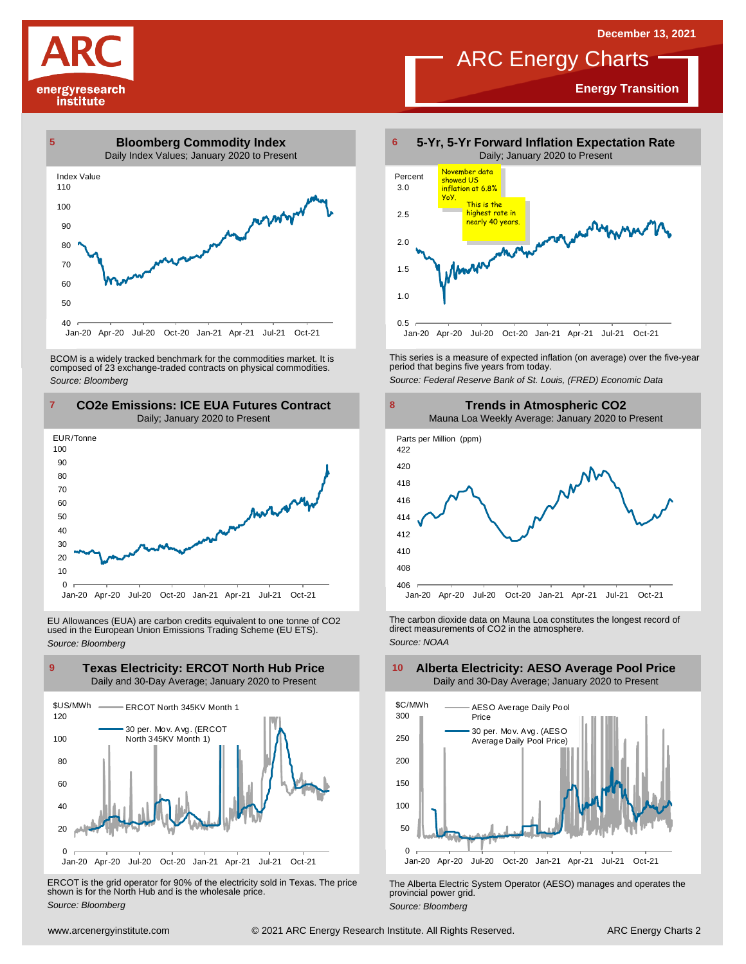# energyresearch institute

## ARC Energy Charts

**Energy Transition**



BCOM is <sup>a</sup> widely tracked benchmark for the commodities market. It is composed of <sup>23</sup> exchange-traded contracts on physical commodities. *Source: Bloomberg*



EU Allowances (EUA) are carbon credits equivalent to one tonne of CO2 used in the European Union Emissions Trading Scheme (EU ETS). *Source: Bloomberg*



ERCOT is the grid operator for 90% of the electricity sold in Texas. The price shown is for the North Hub and is the wholesale price. *Source: Bloomberg*



This series is <sup>a</sup> measure of expected inflation (on average) over the five-year period that begins five years from today. *Source: Federal Reserve Bank of St. Louis, (FRED) Economic Data*



The carbon dioxide data on Mauna Loa constitutes the longest record of direct measurements of CO2 in the atmosphere. *Source: NOAA*



The Alberta Electric System Operator (AESO) manages and operates the provincial power grid. *Source: Bloomberg*

#### **Alberta Electricity: AESO Average Pool Price** Daily and 30-Day Average; January 2020 to Present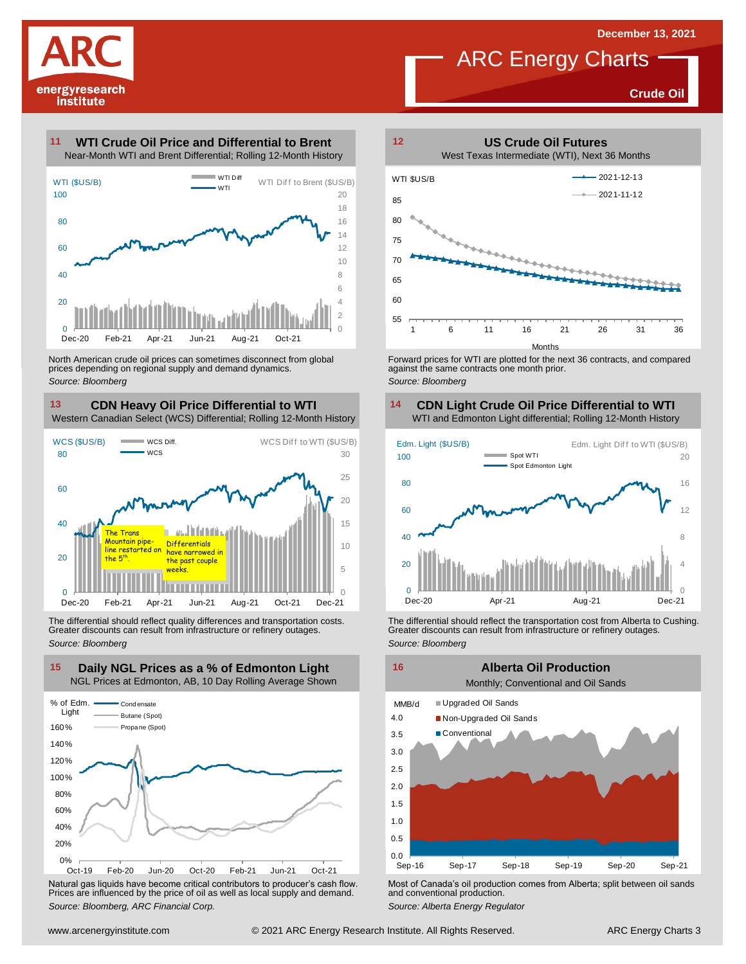

## ARC Energy Charts

**Crude Oil**

#### **WTI Crude Oil Price and Differential to Brent 11**



North American crude oil prices can sometimes disconnect from global prices depending on regional supply and demand dynamics. *Source: Bloomberg*

### **CDN Heavy Oil Price Differential to WTI 13 14**

Western Canadian Select (WCS) Differential; Rolling 12-Month History



The differential should reflect quality differences and transportation costs. Greater discounts can result from infrastructure or refinery outages. *Source: Bloomberg*



Natural gas liquids have become critical contributors to producer's cash flow. Most of Canada's oil production comes from Alberta; split between oil sands<br>Prices are influenced by the price of oil as well as local supply a



Forward prices for WTI are plotted for the next 36 contracts, and compared against the same contracts one month prior. *Source: Bloomberg*

## **CDN Light Crude Oil Price Differential to WTI**



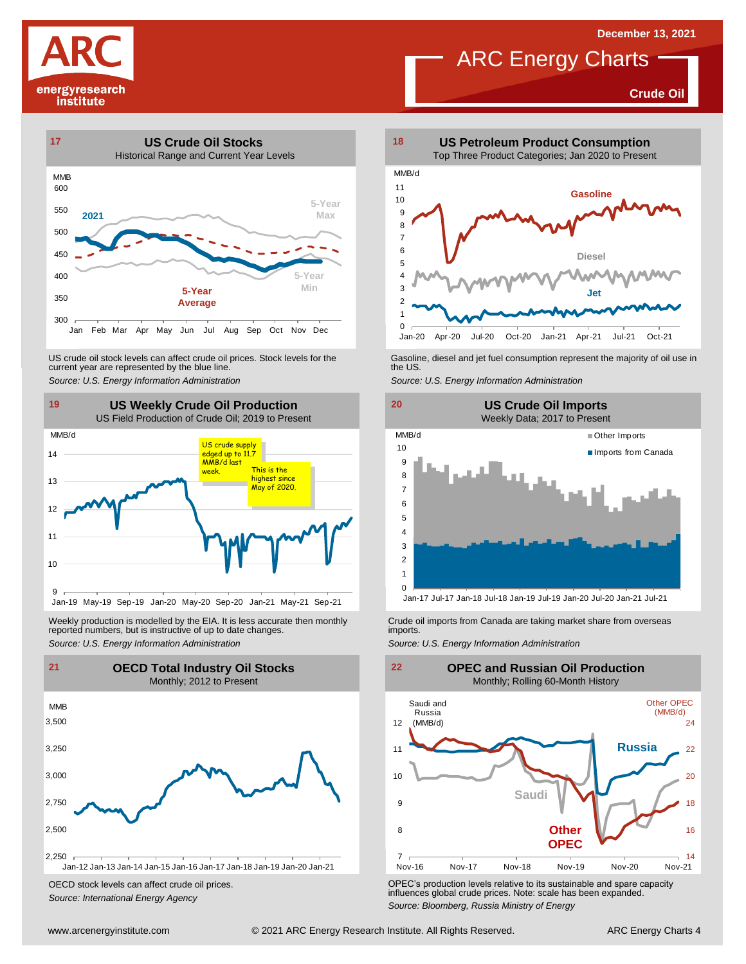**Crude Oil**

# energyresearch institute



US crude oil stock levels can affect crude oil prices. Stock levels for the Gasoline, diesel and jet fuel consumption represent the majority of oil use in<br>current year are represented by the blue line.<br>Source: U.S. Energy



Weekly production is modelled by the EIA. It is less accurate then monthly Crude oil imports from Canada are taking market share from overseas<br>The imports in the more from overseas imports imports.<br>Source: U.S. Energy Info



OECD stock levels can affect crude oil prices. *Source: International Energy Agency*



**ARC** Energy Charts

 $0$  —<br>Jan-20 1 2 Jan-20 Apr-20 Jul-20 Oct-20 Jan-21 Apr-21 Jul-21 Oct-21





OPEC's production levels relative to its sustainable and spare capacity influences global crude prices. Note: scale has been expanded. *Source: Bloomberg, Russia Ministry of Energy*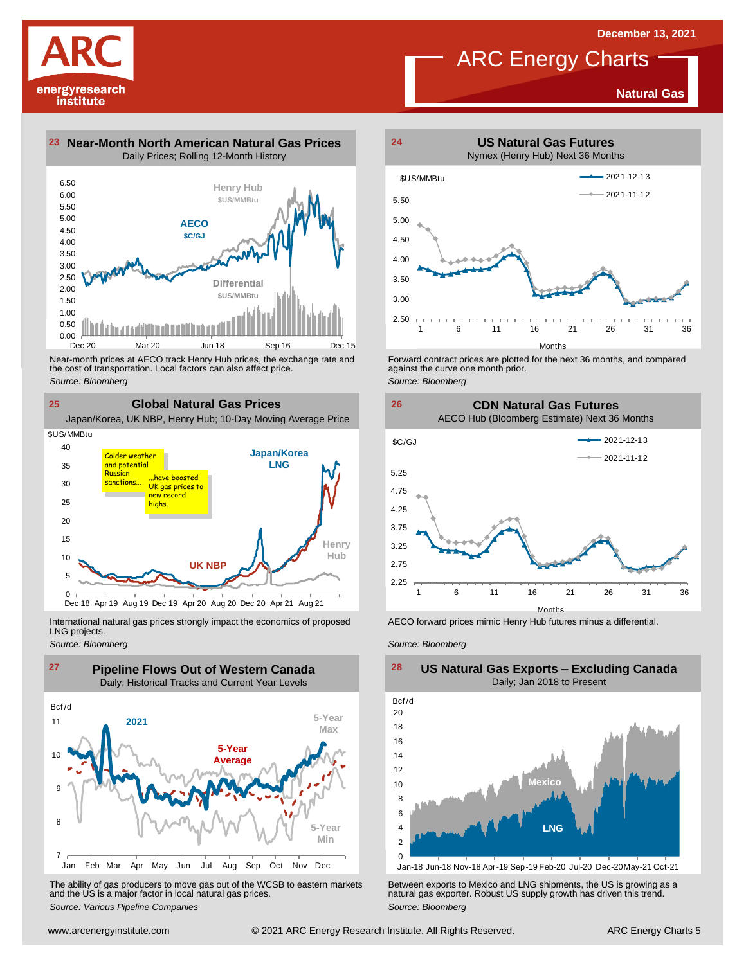# energyresearch institute

**Natural Gas**





Near-month prices at AECO track Henry Hub prices, the exchange rate and<br>the cost of transportation. Local factors can also affect price.<br>Source: Bloomberg<br>**CIObal Natural Gas Prices**<br>Japan/Korea, UK NBP, Henry Hub; 10-Day the cost of transportation. Local factors can also affect price. *Source: Bloomberg*

**25 Global Natural Gas Prices**



International natural gas prices strongly impact the economics of proposed LNG projects.

*Source: Bloomberg*



The ability of gas producers to move gas out of the WCSB to eastern markets Between exports to Mexico and LNG shipments, the US is growing as a<br>and the US is a major factor in local natural gas prices.<br>Source: Bloomberg Va



**ARC** Energy Charts

Forward contract prices are plotted for the next <sup>36</sup> months, and compared against the curve one month prior. *Source: Bloomberg*





AECO forward prices mimic Henry Hub futures minus a differential.

*Source: Bloomberg*



**US Natural Gas Exports – Excluding Canada**

Jan-18 Jun-18 Nov-18 Apr-19 Sep-19 Feb-20 Jul-20 Dec-20May-21 Oct-21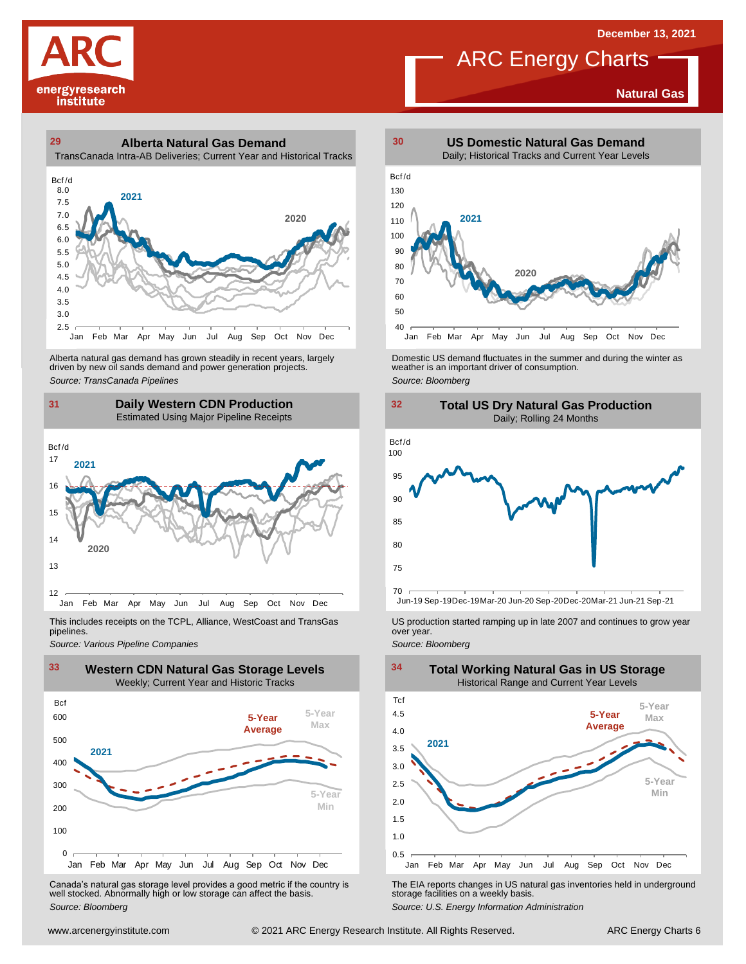**Natural Gas**



### **29 30 Alberta Natural Gas Demand** TransCanada Intra-AB Deliveries; Current Year and Historical Tracks



Alberta natural gas demand has grown steadily in recent years, largely<br>
driven by new oil sands demand and power generation projects.<br>
Source: *Bloomberg*<br>
Source: *Bloomberg*<br>
Daily Western CDN Production<br>
Estimated Using Alberta natural gas demand has grown steadily in recent years, largely **Domestic US demand fluctuates in the summer** and during the winter as driven by new oil sands demand and power generation projects.<br>Ariven by new oil

### **31 32 Daily Western CDN Production** Estimated Using Major Pipeline Receipts **31**<br>Bcf/d



This includes receipts on the TCPL, Alliance, WestCoast and TransGas pipelines.



Canada's natural gas storage level provides <sup>a</sup> good metric if the country is well stocked. Abnormally high or low storage can affect the basis. *Source: Bloomberg*



ARC Energy Charts





*Source: Pipelines Pipelines Pipelines Pipelines Pipelines Companies Pipeline Pipelines Pipelines Pipelines Pipelines Companies Pipeline Companies Pipeline Companies Pipeline Companies Pip* 



The EIA reports changes in US natural gas inventories held in underground storage facilities on <sup>a</sup> weekly basis.

*Source: U.S. Energy Information Administration*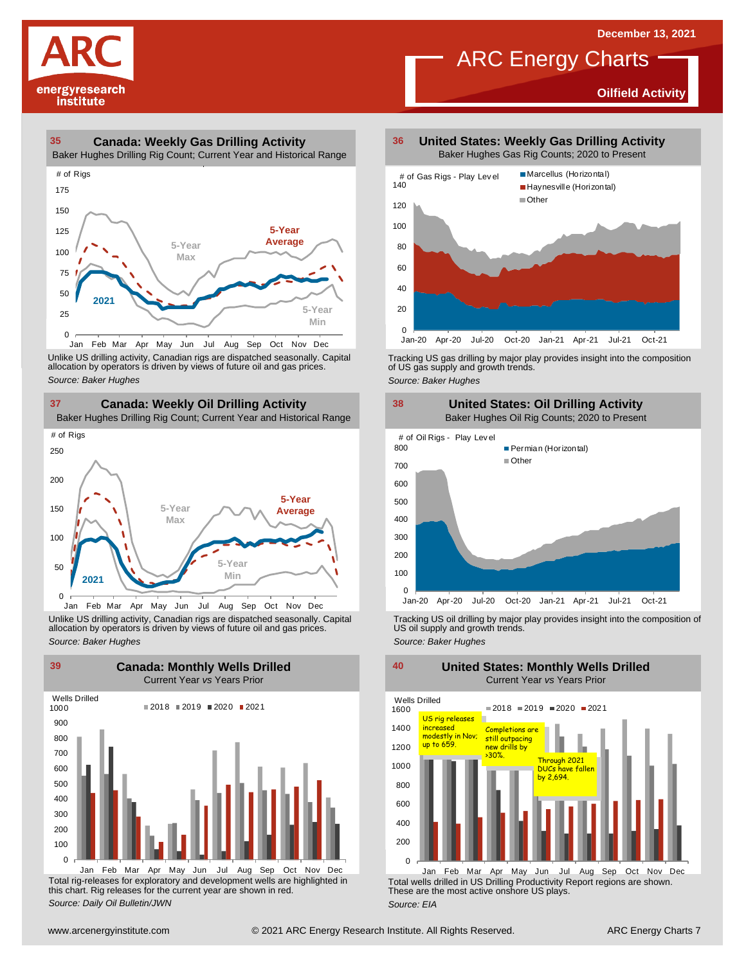**Oilfield Activity**



#### **35 36 Canada: Weekly Gas Drilling Activity**

Baker Hughes Drilling Rig Count; Current Year and Historical Range



Unlike US drilling activity, Canadian rigs are dispatched seasonally. Capital<br>allocation by operators is driven by views of future oil and gas prices. 0<br>Jan Feb Mar A<br>Unlike US drilling activi<br>allocation by operators<br>Source: Baker Hughes



Unlike US drilling activity, Canadian rigs are dispatched seasonally. Capital Tracking US oil drilling by major play provides insight into the composition of<br>allocation by operators is driven by views of future oil and gas



Total rig-releases for exploratory and development wells are highlighted in this chart. Rig releases for the current year are shown in red. *Source: Daily Oil Bulletin/JWN* Jan Feb Mar Apr May Jun Jul Aug Sep Oct Nov Dec

**United States: Weekly Gas Drilling Activity** Baker Hughes Gas Rig Counts; 2020 to Present

ARC Energy Charts



Tracking US gas drilling by major play provides insight into the composition of US gas supply and growth trends.

*Source: Baker Hughes*



Tracking US oil drilling by major play provides insight into the composition of US oil supply and growth trends. *Source: Baker Hughes*

**United States: Monthly Wells Drilled**

Wells Drilled 1600  $2018 = 2019 = 2020 = 2021$ US rig releases ь 1400 increased increased completions are<br>modestly in Nov; still outpacing<br>up to 659. The new drills by 1200 >30%. Through <sup>2021</sup> DUCs have fallen 1000 by 2,694.800 600 400 200  $\Omega$ 

Total wells drilled in US Drilling Productivity Report regions are shown. These are the most active onshore US plays. *Source: EIA* Jan Feb Mar Apr May Jun Jul Aug Sep Oct Nov Dec